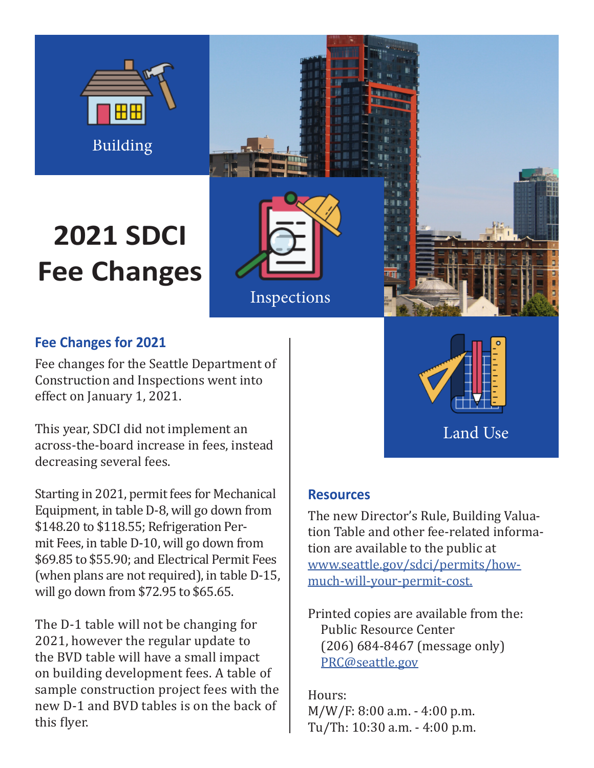

# **2021 SDCI Fee Changes**





## **Fee Changes for 2021**

Fee changes for the Seattle Department of Construction and Inspections went into effect on January 1, 2021.

This year, SDCI did not implement an across-the-board increase in fees, instead decreasing several fees.

Starting in 2021, permit fees for Mechanical Equipment, in table D-8, will go down from \$148.20 to \$118.55; Refrigeration Permit Fees, in table D-10, will go down from \$69.85 to \$55.90; and Electrical Permit Fees (when plans are not required), in table D-15, will go down from \$72.95 to \$65.65.

The D-1 table will not be changing for 2021, however the regular update to the BVD table will have a small impact on building development fees. A table of sample construction project fees with the new D-1 and BVD tables is on the back of this flyer.

Land Use

### **Resources**

The new Director's Rule, Building Valuation Table and other fee-related information are available to the public at www.seattle.gov/sdci/permits/howmuch-will-your-permit-cost.

Printed copies are available from the: Public Resource Center (206) 684-8467 (message only) PRC@seattle.gov

Hours: M/W/F: 8:00 a.m. - 4:00 p.m. Tu/Th: 10:30 a.m. - 4:00 p.m.